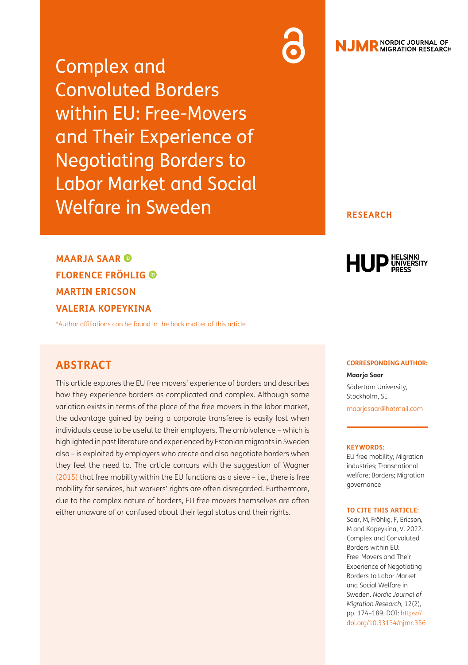Complex and Convoluted Borders within EU: Free-Movers and Their Experience of Negotiating Borders to Labor Market and Social Welfare in Sweden

# R NORDIC JOURNAL OF

**RESEARCH**

**MAARJA SAAR FLORENCE FRÖHLIG MARTIN ERICSON VALERIA KOPEYKINA**

[\\*Author affiliations can be found in the back matter of this article](#page-13-0)

# **ABSTRACT**

This article explores the EU free movers' experience of borders and describes how they experience borders as complicated and complex. Although some variation exists in terms of the place of the free movers in the labor market, the advantage gained by being a corporate transferee is easily lost when individuals cease to be useful to their employers. The ambivalence – which is highlighted in past literature and experienced by Estonian migrants in Sweden also – is exploited by employers who create and also negotiate borders when they feel the need to. The article concurs with the suggestion of Wagner [\(2015\)](#page-15-0) that free mobility within the EU functions as a sieve – i.e., there is free mobility for services, but workers' rights are often disregarded. Furthermore, due to the complex nature of borders, EU free movers themselves are often either unaware of or confused about their legal status and their rights.

#### **CORRESPONDING AUTHOR:**

HUP UNIVERSITY

**Maarja Saar**

Södertörn University, Stockholm, SE [maarjasaar@hotmail.com](mailto:maarjasaar@hotmail.com)

#### **KEYWORDS:**

EU free mobility; Migration industries; Transnational welfare; Borders; Migration governance

#### **TO CITE THIS ARTICLE:**

Saar, M, Fröhlig, F, Ericson, M and Kopeykina, V. 2022. Complex and Convoluted Borders within EU: Free-Movers and Their Experience of Negotiating Borders to Labor Market and Social Welfare in Sweden. *Nordic Journal of Migration Research,* 12(2), pp. 174–189. DOI: [https://](https://doi.org/10.33134/njmr.356) [doi.org/10.33134/njmr.356](https://doi.org/10.33134/njmr.356)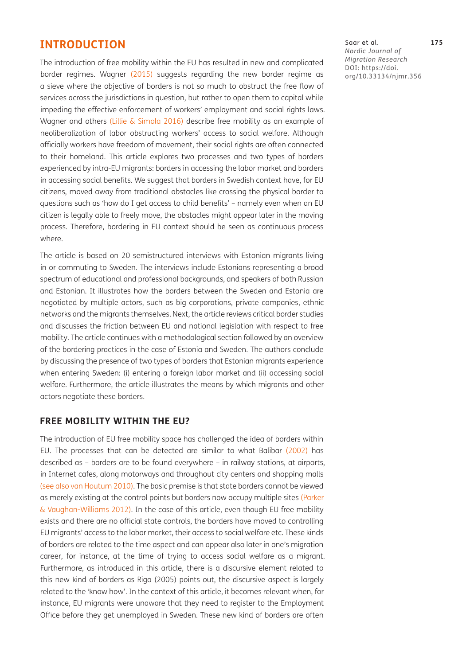## **INTRODUCTION**

The introduction of free mobility within the EU has resulted in new and complicated border regimes. Wagner ([2015](#page-15-0)) suggests regarding the new border regime as a sieve where the objective of borders is not so much to obstruct the free flow of services across the jurisdictions in question, but rather to open them to capital while impeding the effective enforcement of workers' employment and social rights laws. Wagner and others [\(Lillie & Simola 2016\)](#page-14-0) describe free mobility as an example of neoliberalization of labor obstructing workers' access to social welfare. Although officially workers have freedom of movement, their social rights are often connected to their homeland. This article explores two processes and two types of borders experienced by intra-EU migrants: borders in accessing the labor market and borders in accessing social benefits. We suggest that borders in Swedish context have, for EU citizens, moved away from traditional obstacles like crossing the physical border to questions such as 'how do I get access to child benefits' – namely even when an EU citizen is legally able to freely move, the obstacles might appear later in the moving process. Therefore, bordering in EU context should be seen as continuous process where.

The article is based on 20 semistructured interviews with Estonian migrants living in or commuting to Sweden. The interviews include Estonians representing a broad spectrum of educational and professional backgrounds, and speakers of both Russian and Estonian. It illustrates how the borders between the Sweden and Estonia are negotiated by multiple actors, such as big corporations, private companies, ethnic networks and the migrants themselves. Next, the article reviews critical border studies and discusses the friction between EU and national legislation with respect to free mobility. The article continues with a methodological section followed by an overview of the bordering practices in the case of Estonia and Sweden. The authors conclude by discussing the presence of two types of borders that Estonian migrants experience when entering Sweden: (i) entering a foreign labor market and (ii) accessing social welfare. Furthermore, the article illustrates the means by which migrants and other actors negotiate these borders.

## **FREE MOBILITY WITHIN THE EU?**

The introduction of EU free mobility space has challenged the idea of borders within EU. The processes that can be detected are similar to what Balibar [\(2002](#page-13-1)) has described as – borders are to be found everywhere – in railway stations, at airports, in Internet cafes, along motorways and throughout city centers and shopping malls (see also [van Houtum 2010](#page-15-1)). The basic premise is that state borders cannot be viewed as merely existing at the control points but borders now occupy multiple sites [\(Parker](#page-14-1) [& Vaughan-Williams 2012](#page-14-1)). In the case of this article, even though EU free mobility exists and there are no official state controls, the borders have moved to controlling EU migrants' access to the labor market, their access to social welfare etc. These kinds of borders are related to the time aspect and can appear also later in one's migration career, for instance, at the time of trying to access social welfare as a migrant. Furthermore, as introduced in this article, there is a discursive element related to this new kind of borders as Rigo (2005) points out, the discursive aspect is largely related to the 'know how'. In the context of this article, it becomes relevant when, for instance, EU migrants were unaware that they need to register to the Employment Office before they get unemployed in Sweden. These new kind of borders are often

Saar et al. **175** *Nordic Journal of Migration Research* DOI: [https://doi.](https://doi.org/10.33134/njmr.356) [org/10.33134/njmr.356](https://doi.org/10.33134/njmr.356)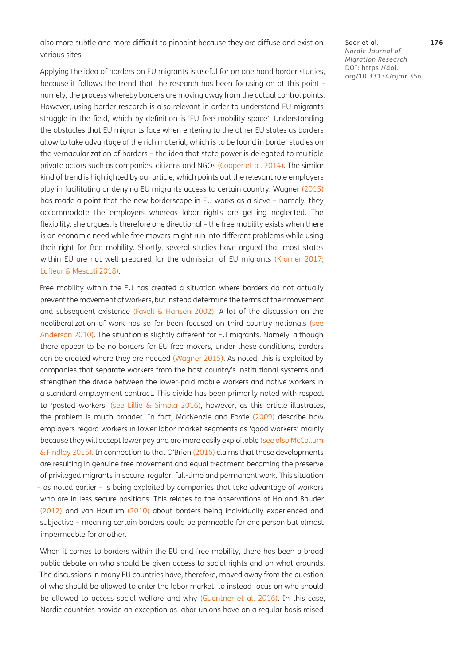also more subtle and more difficult to pinpoint because they are diffuse and exist on various sites.

Applying the idea of borders on EU migrants is useful for on one hand border studies, because it follows the trend that the research has been focusing on at this point – namely, the process whereby borders are moving away from the actual control points. However, using border research is also relevant in order to understand EU migrants struggle in the field, which by definition is 'EU free mobility space'. Understanding the obstacles that EU migrants face when entering to the other EU states as borders allow to take advantage of the rich material, which is to be found in border studies on the vernacularization of borders – the idea that state power is delegated to multiple private actors such as companies, citizens and NGOs ([Cooper et al. 2014\)](#page-13-2). The similar kind of trend is highlighted by our article, which points out the relevant role employers play in facilitating or denying EU migrants access to certain country. Wagner [\(2015](#page-15-0)) has made a point that the new borderscape in EU works as a sieve – namely, they accommodate the employers whereas labor rights are getting neglected. The flexibility, she argues, is therefore one directional – the free mobility exists when there is an economic need while free movers might run into different problems while using their right for free mobility. Shortly, several studies have argued that most states within EU are not well prepared for the admission of EU migrants [\(Kramer 2017;](#page-14-2) [Lafleur & Mescoli 2018\)](#page-14-3).

Free mobility within the EU has created a situation where borders do not actually prevent the movement of workers, but instead determine the terms of their movement and subsequent existence ([Favell & Hansen 2002\)](#page-14-4). A lot of the discussion on the neoliberalization of work has so far been focused on third country nationals (see [Anderson 2010](#page-13-3)). The situation is slightly different for EU migrants. Namely, although there appear to be no borders for EU free movers, under these conditions, borders can be created where they are needed ([Wagner 2015](#page-15-0)). As noted, this is exploited by companies that separate workers from the host country's institutional systems and strengthen the divide between the lower-paid mobile workers and native workers in a standard employment contract. This divide has been primarily noted with respect to 'posted workers' (see [Lillie & Simola 2016](#page-14-0)), however, as this article illustrates, the problem is much broader. In fact, MacKenzie and Forde ([2009](#page-14-5)) describe how employers regard workers in lower labor market segments as 'good workers' mainly because they will accept lower pay and are more easily exploitable (see also [McCollum](#page-14-6)  [& Findlay 2015](#page-14-6)). In connection to that O'Brien (2016) claims that these developments are resulting in genuine free movement and equal treatment becoming the preserve of privileged migrants in secure, regular, full-time and permanent work. This situation – as noted earlier – is being exploited by companies that take advantage of workers who are in less secure positions. This relates to the observations of Ho and Bauder [\(2012\)](#page-14-7) and van Houtum [\(2010\)](#page-15-1) about borders being individually experienced and subjective – meaning certain borders could be permeable for one person but almost impermeable for another.

When it comes to borders within the EU and free mobility, there has been a broad public debate on who should be given access to social rights and on what grounds. The discussions in many EU countries have, therefore, moved away from the question of who should be allowed to enter the labor market, to instead focus on who should be allowed to access social welfare and why ([Guentner et al. 2016](#page-14-8)). In this case, Nordic countries provide an exception as labor unions have on a regular basis raised

Saar et al. **176** *Nordic Journal of Migration Research* DOI: [https://doi.](https://doi.org/10.33134/njmr.356) [org/10.33134/njmr.356](https://doi.org/10.33134/njmr.356)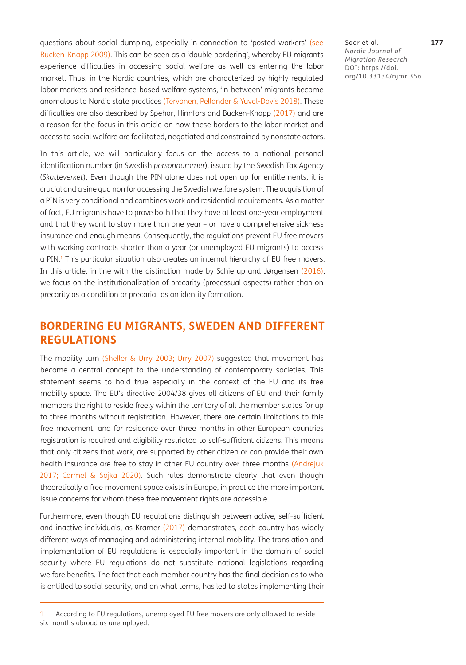questions about social dumping, especially in connection to 'posted workers' (see [Bucken-Knapp 2009\)](#page-13-4). This can be seen as a 'double bordering', whereby EU migrants experience difficulties in accessing social welfare as well as entering the labor market. Thus, in the Nordic countries, which are characterized by highly regulated labor markets and residence-based welfare systems, 'in-between' migrants become anomalous to Nordic state practices ([Tervonen, Pellander & Yuval-Davis 2018](#page-15-2)). These difficulties are also described by Spehar, Hinnfors and Bucken-Knapp ([2017](#page-15-3)) and are a reason for the focus in this article on how these borders to the labor market and access to social welfare are facilitated, negotiated and constrained by nonstate actors.

In this article, we will particularly focus on the access to a national personal identification number (in Swedish *personnummer*), issued by the Swedish Tax Agency (*Skatteverket*). Even though the PIN alone does not open up for entitlements, it is crucial and a sine qua non for accessing the Swedish welfare system. The acquisition of a PIN is very conditional and combines work and residential requirements. As a matter of fact, EU migrants have to prove both that they have at least one-year employment and that they want to stay more than one year – or have a comprehensive sickness insurance and enough means. Consequently, the regulations prevent EU free movers with working contracts shorter than a year (or unemployed EU migrants) to access a PIN.<sup>1</sup> This particular situation also creates an internal hierarchy of EU free movers. In this article, in line with the distinction made by Schierup and Jørgensen (2016), we focus on the institutionalization of precarity (processual aspects) rather than on precarity as a condition or precariat as an identity formation.

# **BORDERING EU MIGRANTS, SWEDEN AND DIFFERENT REGULATIONS**

The mobility turn ([Sheller & Urry 2003](#page-14-9); [Urry 2007\)](#page-15-4) suggested that movement has become a central concept to the understanding of contemporary societies. This statement seems to hold true especially in the context of the EU and its free mobility space. The EU's directive 2004/38 gives all citizens of EU and their family members the right to reside freely within the territory of all the member states for up to three months without registration. However, there are certain limitations to this free movement, and for residence over three months in other European countries registration is required and eligibility restricted to self-sufficient citizens. This means that only citizens that work, are supported by other citizen or can provide their own health insurance are free to stay in other EU country over three months [\(Andrejuk](#page-13-5)  [2017](#page-13-5); [Carmel & Sojka 2020\)](#page-13-6). Such rules demonstrate clearly that even though theoretically a free movement space exists in Europe, in practice the more important issue concerns for whom these free movement rights are accessible.

Furthermore, even though EU regulations distinguish between active, self-sufficient and inactive individuals, as Kramer [\(2017\)](#page-14-2) demonstrates, each country has widely different ways of managing and administering internal mobility. The translation and implementation of EU regulations is especially important in the domain of social security where EU regulations do not substitute national legislations regarding welfare benefits. The fact that each member country has the final decision as to who is entitled to social security, and on what terms, has led to states implementing their

Saar et al. **177** *Nordic Journal of Migration Research* DOI: [https://doi.](https://doi.org/10.33134/njmr.356) [org/10.33134/njmr.356](https://doi.org/10.33134/njmr.356)

<span id="page-3-0"></span><sup>1</sup> According to EU regulations, unemployed EU free movers are only allowed to reside six months abroad as unemployed.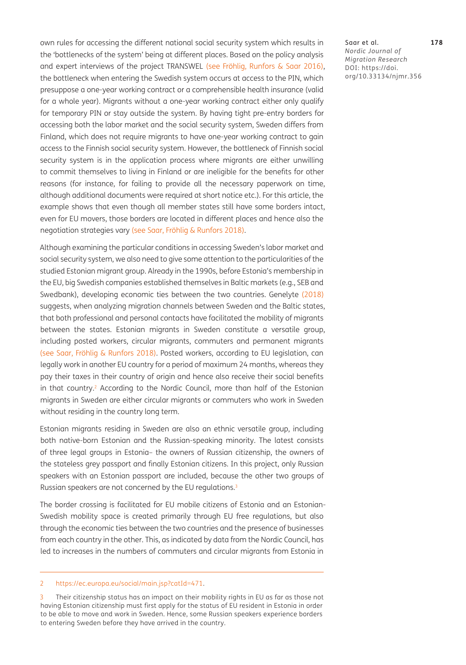own rules for accessing the different national social security system which results in the 'bottlenecks of the system' being at different places. Based on the policy analysis and expert interviews of the project TRANSWEL (see Fröhlig, Runfors & Saar 2016), the bottleneck when entering the Swedish system occurs at access to the PIN, which presuppose a one-year working contract or a comprehensible health insurance (valid for a whole year). Migrants without a one-year working contract either only qualify for temporary PIN or stay outside the system. By having tight pre-entry borders for accessing both the labor market and the social security system, Sweden differs from Finland, which does not require migrants to have one-year working contract to gain access to the Finnish social security system. However, the bottleneck of Finnish social security system is in the application process where migrants are either unwilling to commit themselves to living in Finland or are ineligible for the benefits for other reasons (for instance, for failing to provide all the necessary paperwork on time, although additional documents were required at short notice etc.). For this article, the example shows that even though all member states still have some borders intact, even for EU movers, those borders are located in different places and hence also the negotiation strategies vary (see Saar, Fröhlig & Runfors 2018).

Although examining the particular conditions in accessing Sweden's labor market and social security system, we also need to give some attention to the particularities of the studied Estonian migrant group. Already in the 1990s, before Estonia's membership in the EU, big Swedish companies established themselves in Baltic markets (e.g., SEB and Swedbank), developing economic ties between the two countries. Genelyte [\(2018](#page-14-10)) suggests, when analyzing migration channels between Sweden and the Baltic states, that both professional and personal contacts have facilitated the mobility of migrants between the states. Estonian migrants in Sweden constitute a versatile group, including posted workers, circular migrants, commuters and permanent migrants (see Saar, Fröhlig & Runfors 2018). Posted workers, according to EU legislation, can legally work in another EU country for a period of maximum 24 months, whereas they pay their taxes in their country of origin and hence also receive their social benefits in that country.<sup>[2](#page-4-0)</sup> According to the Nordic Council, more than half of the Estonian migrants in Sweden are either circular migrants or commuters who work in Sweden without residing in the country long term.

Estonian migrants residing in Sweden are also an ethnic versatile group, including both native-born Estonian and the Russian-speaking minority. The latest consists of three legal groups in Estonia– the owners of Russian citizenship, the owners of the stateless grey passport and finally Estonian citizens. In this project, only Russian speakers with an Estonian passport are included, because the other two groups of Russian speakers are not concerned by the EU regulations.<sup>[3](#page-4-1)</sup>

The border crossing is facilitated for EU mobile citizens of Estonia and an Estonian-Swedish mobility space is created primarily through EU free regulations, but also through the economic ties between the two countries and the presence of businesses from each country in the other. This, as indicated by data from the Nordic Council, has led to increases in the numbers of commuters and circular migrants from Estonia in

Saar et al. **178** *Nordic Journal of Migration Research* DOI: [https://doi.](https://doi.org/10.33134/njmr.356) [org/10.33134/njmr.356](https://doi.org/10.33134/njmr.356)

<span id="page-4-0"></span><sup>2</sup> <https://ec.europa.eu/social/main.jsp?catId=471>.

<span id="page-4-1"></span>Their citizenship status has an impact on their mobility rights in EU as far as those not having Estonian citizenship must first apply for the status of EU resident in Estonia in order to be able to move and work in Sweden. Hence, some Russian speakers experience borders to entering Sweden before they have arrived in the country.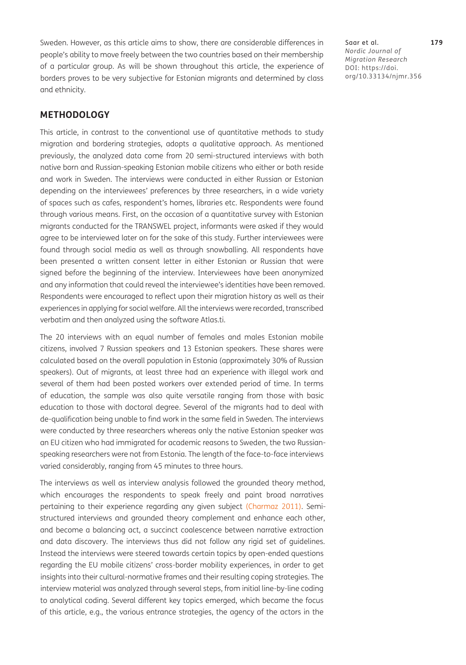Sweden. However, as this article aims to show, there are considerable differences in people's ability to move freely between the two countries based on their membership of a particular group. As will be shown throughout this article, the experience of borders proves to be very subjective for Estonian migrants and determined by class and ethnicity.

## **METHODOLOGY**

This article, in contrast to the conventional use of quantitative methods to study migration and bordering strategies, adopts a qualitative approach. As mentioned previously, the analyzed data come from 20 semi-structured interviews with both native born and Russian-speaking Estonian mobile citizens who either or both reside and work in Sweden. The interviews were conducted in either Russian or Estonian depending on the interviewees' preferences by three researchers, in a wide variety of spaces such as cafes, respondent's homes, libraries etc. Respondents were found through various means. First, on the occasion of a quantitative survey with Estonian migrants conducted for the TRANSWEL project, informants were asked if they would agree to be interviewed later on for the sake of this study. Further interviewees were found through social media as well as through snowballing. All respondents have been presented a written consent letter in either Estonian or Russian that were signed before the beginning of the interview. Interviewees have been anonymized and any information that could reveal the interviewee's identities have been removed. Respondents were encouraged to reflect upon their migration history as well as their experiences in applying for social welfare. All the interviews were recorded, transcribed verbatim and then analyzed using the software Atlas.ti.

The 20 interviews with an equal number of females and males Estonian mobile citizens, involved 7 Russian speakers and 13 Estonian speakers. These shares were calculated based on the overall population in Estonia (approximately 30% of Russian speakers). Out of migrants, at least three had an experience with illegal work and several of them had been posted workers over extended period of time. In terms of education, the sample was also quite versatile ranging from those with basic education to those with doctoral degree. Several of the migrants had to deal with de-qualification being unable to find work in the same field in Sweden. The interviews were conducted by three researchers whereas only the native Estonian speaker was an EU citizen who had immigrated for academic reasons to Sweden, the two Russianspeaking researchers were not from Estonia. The length of the face-to-face interviews varied considerably, ranging from 45 minutes to three hours.

The interviews as well as interview analysis followed the grounded theory method, which encourages the respondents to speak freely and paint broad narratives pertaining to their experience regarding any given subject ([Charmaz 2011](#page-13-7)). Semistructured interviews and grounded theory complement and enhance each other, and become a balancing act, a succinct coalescence between narrative extraction and data discovery. The interviews thus did not follow any rigid set of guidelines. Instead the interviews were steered towards certain topics by open-ended questions regarding the EU mobile citizens' cross-border mobility experiences, in order to get insights into their cultural-normative frames and their resulting coping strategies. The interview material was analyzed through several steps, from initial line-by-line coding to analytical coding. Several different key topics emerged, which became the focus of this article, e.g., the various entrance strategies, the agency of the actors in the

Saar et al. **179** *Nordic Journal of Migration Research* DOI: [https://doi.](https://doi.org/10.33134/njmr.356) [org/10.33134/njmr.356](https://doi.org/10.33134/njmr.356)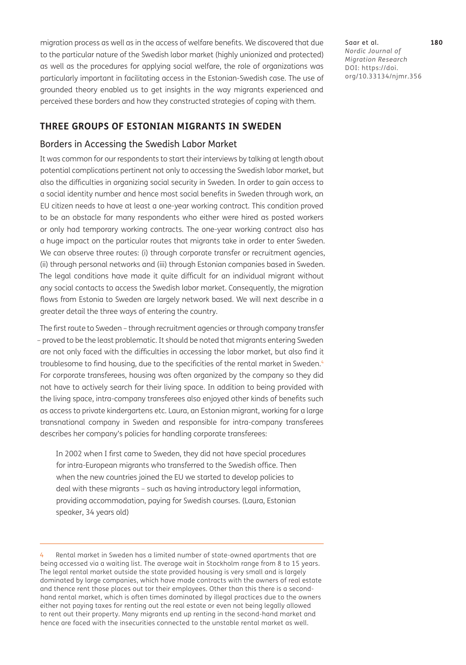migration process as well as in the access of welfare benefits. We discovered that due to the particular nature of the Swedish labor market (highly unionized and protected) as well as the procedures for applying social welfare, the role of organizations was particularly important in facilitating access in the Estonian-Swedish case. The use of grounded theory enabled us to get insights in the way migrants experienced and perceived these borders and how they constructed strategies of coping with them.

Saar et al. **180** *Nordic Journal of Migration Research* DOI: [https://doi.](https://doi.org/10.33134/njmr.356) [org/10.33134/njmr.356](https://doi.org/10.33134/njmr.356)

## **THREE GROUPS OF ESTONIAN MIGRANTS IN SWEDEN**

### Borders in Accessing the Swedish Labor Market

It was common for our respondents to start their interviews by talking at length about potential complications pertinent not only to accessing the Swedish labor market, but also the difficulties in organizing social security in Sweden. In order to gain access to a social identity number and hence most social benefits in Sweden through work, an EU citizen needs to have at least a one-year working contract. This condition proved to be an obstacle for many respondents who either were hired as posted workers or only had temporary working contracts. The one-year working contract also has a huge impact on the particular routes that migrants take in order to enter Sweden. We can observe three routes: (i) through corporate transfer or recruitment agencies, (ii) through personal networks and (iii) through Estonian companies based in Sweden. The legal conditions have made it quite difficult for an individual migrant without any social contacts to access the Swedish labor market. Consequently, the migration flows from Estonia to Sweden are largely network based. We will next describe in a greater detail the three ways of entering the country.

The first route to Sweden – through recruitment agencies or through company transfer – proved to be the least problematic. It should be noted that migrants entering Sweden are not only faced with the difficulties in accessing the labor market, but also find it troublesome to find housing, due to the specificities of the rental market in Sweden.<sup>4</sup> For corporate transferees, housing was often organized by the company so they did not have to actively search for their living space. In addition to being provided with the living space, intra-company transferees also enjoyed other kinds of benefits such as access to private kindergartens etc. Laura, an Estonian migrant, working for a large transnational company in Sweden and responsible for intra-company transferees describes her company's policies for handling corporate transferees:

In 2002 when I first came to Sweden, they did not have special procedures for intra-European migrants who transferred to the Swedish office. Then when the new countries joined the EU we started to develop policies to deal with these migrants – such as having introductory legal information, providing accommodation, paying for Swedish courses. (Laura, Estonian speaker, 34 years old)

<span id="page-6-0"></span><sup>4</sup> Rental market in Sweden has a limited number of state-owned apartments that are being accessed via a waiting list. The average wait in Stockholm range from 8 to 15 years. The legal rental market outside the state provided housing is very small and is largely dominated by large companies, which have made contracts with the owners of real estate and thence rent those places out tor their employees. Other than this there is a secondhand rental market, which is often times dominated by illegal practices due to the owners either not paying taxes for renting out the real estate or even not being legally allowed to rent out their property. Many migrants end up renting in the second-hand market and hence are faced with the insecurities connected to the unstable rental market as well.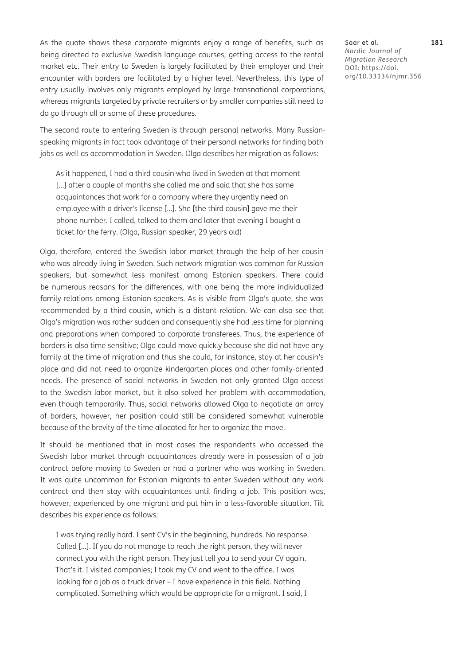As the quote shows these corporate migrants enjoy a range of benefits, such as being directed to exclusive Swedish language courses, getting access to the rental market etc. Their entry to Sweden is largely facilitated by their employer and their encounter with borders are facilitated by a higher level. Nevertheless, this type of entry usually involves only migrants employed by large transnational corporations, whereas migrants targeted by private recruiters or by smaller companies still need to do go through all or some of these procedures.

The second route to entering Sweden is through personal networks. Many Russianspeaking migrants in fact took advantage of their personal networks for finding both jobs as well as accommodation in Sweden. Olga describes her migration as follows:

As it happened, I had a third cousin who lived in Sweden at that moment [...] after a couple of months she called me and said that she has some acquaintances that work for a company where they urgently need an employee with a driver's license […]. She [the third cousin] gave me their phone number. I called, talked to them and later that evening I bought a ticket for the ferry. (Olga, Russian speaker, 29 years old)

Olga, therefore, entered the Swedish labor market through the help of her cousin who was already living in Sweden. Such network migration was common for Russian speakers, but somewhat less manifest among Estonian speakers. There could be numerous reasons for the differences, with one being the more individualized family relations among Estonian speakers. As is visible from Olga's quote, she was recommended by a third cousin, which is a distant relation. We can also see that Olga's migration was rather sudden and consequently she had less time for planning and preparations when compared to corporate transferees. Thus, the experience of borders is also time sensitive; Olga could move quickly because she did not have any family at the time of migration and thus she could, for instance, stay at her cousin's place and did not need to organize kindergarten places and other family-oriented needs. The presence of social networks in Sweden not only granted Olga access to the Swedish labor market, but it also solved her problem with accommodation, even though temporarily. Thus, social networks allowed Olga to negotiate an array of borders, however, her position could still be considered somewhat vulnerable because of the brevity of the time allocated for her to organize the move.

It should be mentioned that in most cases the respondents who accessed the Swedish labor market through acquaintances already were in possession of a job contract before moving to Sweden or had a partner who was working in Sweden. It was quite uncommon for Estonian migrants to enter Sweden without any work contract and then stay with acquaintances until finding a job. This position was, however, experienced by one migrant and put him in a less-favorable situation. Tiit describes his experience as follows:

I was trying really hard. I sent CV's in the beginning, hundreds. No response. Called […]. If you do not manage to reach the right person, they will never connect you with the right person. They just tell you to send your CV again. That's it. I visited companies; I took my CV and went to the office. I was looking for a job as a truck driver – I have experience in this field. Nothing complicated. Something which would be appropriate for a migrant. I said, I

Saar et al. **181** *Nordic Journal of Migration Research* DOI: [https://doi.](https://doi.org/10.33134/njmr.356) [org/10.33134/njmr.356](https://doi.org/10.33134/njmr.356)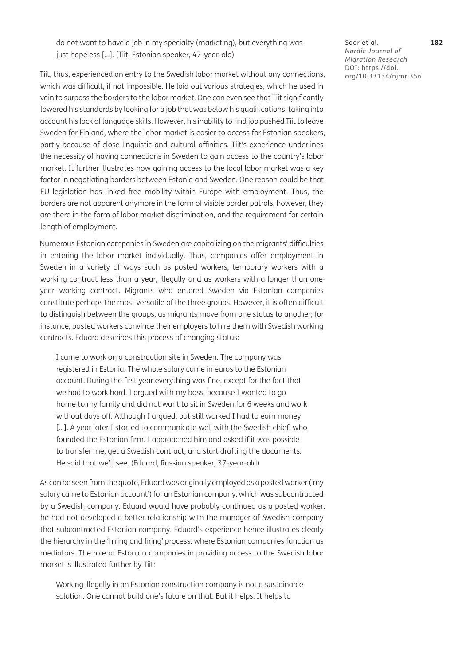do not want to have a job in my specialty (marketing), but everything was just hopeless […]. (Tiit, Estonian speaker, 47-year-old)

Tiit, thus, experienced an entry to the Swedish labor market without any connections, which was difficult, if not impossible. He laid out various strategies, which he used in vain to surpass the borders to the labor market. One can even see that Tiit significantly lowered his standards by looking for a job that was below his qualifications, taking into account his lack of language skills. However, his inability to find job pushed Tiit to leave Sweden for Finland, where the labor market is easier to access for Estonian speakers, partly because of close linguistic and cultural affinities. Tiit's experience underlines the necessity of having connections in Sweden to gain access to the country's labor market. It further illustrates how gaining access to the local labor market was a key factor in negotiating borders between Estonia and Sweden. One reason could be that EU legislation has linked free mobility within Europe with employment. Thus, the borders are not apparent anymore in the form of visible border patrols, however, they are there in the form of labor market discrimination, and the requirement for certain length of employment.

Numerous Estonian companies in Sweden are capitalizing on the migrants' difficulties in entering the labor market individually. Thus, companies offer employment in Sweden in a variety of ways such as posted workers, temporary workers with a working contract less than a year, illegally and as workers with a longer than oneyear working contract. Migrants who entered Sweden via Estonian companies constitute perhaps the most versatile of the three groups. However, it is often difficult to distinguish between the groups, as migrants move from one status to another; for instance, posted workers convince their employers to hire them with Swedish working contracts. Eduard describes this process of changing status:

I came to work on a construction site in Sweden. The company was registered in Estonia. The whole salary came in euros to the Estonian account. During the first year everything was fine, except for the fact that we had to work hard. I argued with my boss, because I wanted to go home to my family and did not want to sit in Sweden for 6 weeks and work without days off. Although I argued, but still worked I had to earn money [...]. A year later I started to communicate well with the Swedish chief, who founded the Estonian firm. I approached him and asked if it was possible to transfer me, get a Swedish contract, and start drafting the documents. He said that we'll see. (Eduard, Russian speaker, 37-year-old)

As can be seen from the quote, Eduard was originally employed as a posted worker ('my salary came to Estonian account') for an Estonian company, which was subcontracted by a Swedish company. Eduard would have probably continued as a posted worker, he had not developed a better relationship with the manager of Swedish company that subcontracted Estonian company. Eduard's experience hence illustrates clearly the hierarchy in the 'hiring and firing' process, where Estonian companies function as mediators. The role of Estonian companies in providing access to the Swedish labor market is illustrated further by Tiit:

Working illegally in an Estonian construction company is not a sustainable solution. One cannot build one's future on that. But it helps. It helps to

Saar et al. **182** *Nordic Journal of Migration Research* DOI: [https://doi.](https://doi.org/10.33134/njmr.356) [org/10.33134/njmr.356](https://doi.org/10.33134/njmr.356)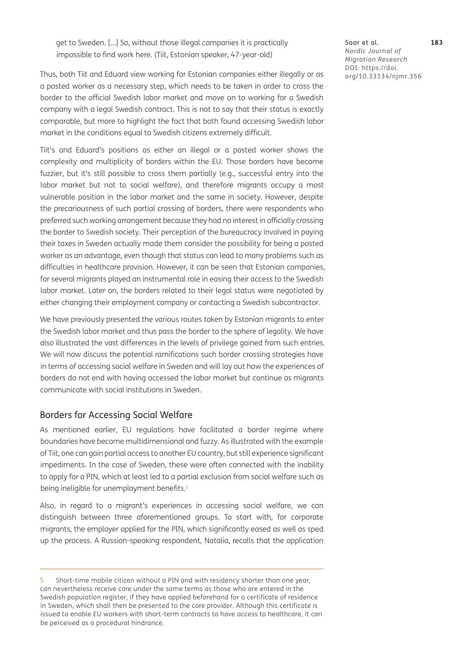get to Sweden. […] So, without those illegal companies it is practically impossible to find work here. (Tiit, Estonian speaker, 47-year-old)

Thus, both Tiit and Eduard view working for Estonian companies either illegally or as a posted worker as a necessary step, which needs to be taken in order to cross the border to the official Swedish labor market and move on to working for a Swedish company with a legal Swedish contract. This is not to say that their status is exactly comparable, but more to highlight the fact that both found accessing Swedish labor market in the conditions equal to Swedish citizens extremely difficult.

Tiit's and Eduard's positions as either an illegal or a posted worker shows the complexity and multiplicity of borders within the EU. Those borders have become fuzzier, but it's still possible to cross them partially (e.g., successful entry into the labor market but not to social welfare), and therefore migrants occupy a most vulnerable position in the labor market and the same in society. However, despite the precariousness of such partial crossing of borders, there were respondents who preferred such working arrangement because they had no interest in officially crossing the border to Swedish society. Their perception of the bureaucracy involved in paying their taxes in Sweden actually made them consider the possibility for being a posted worker as an advantage, even though that status can lead to many problems such as difficulties in healthcare provision. However, it can be seen that Estonian companies, for several migrants played an instrumental role in easing their access to the Swedish labor market. Later on, the borders related to their legal status were negotiated by either changing their employment company or contacting a Swedish subcontractor.

We have previously presented the various routes taken by Estonian migrants to enter the Swedish labor market and thus pass the border to the sphere of legality. We have also illustrated the vast differences in the levels of privilege gained from such entries. We will now discuss the potential ramifications such border crossing strategies have in terms of accessing social welfare in Sweden and will lay out how the experiences of borders do not end with having accessed the labor market but continue as migrants communicate with social institutions in Sweden.

## Borders for Accessing Social Welfare

As mentioned earlier, EU regulations have facilitated a border regime where boundaries have become multidimensional and fuzzy. As illustrated with the example of Tiit, one can gain partial access to another EU country, but still experience significant impediments. In the case of Sweden, these were often connected with the inability to apply for a PIN, which at least led to a partial exclusion from social welfare such as being ineligible for unemployment benefits.<sup>[5](#page-9-0)</sup>

Also, in regard to a migrant's experiences in accessing social welfare, we can distinguish between three aforementioned groups. To start with, for corporate migrants, the employer applied for the PIN, which significantly eased as well as sped up the process. A Russian-speaking respondent, Natalia, recalls that the application

Saar et al. **183** *Nordic Journal of Migration Research* DOI: [https://doi.](https://doi.org/10.33134/njmr.356) [org/10.33134/njmr.356](https://doi.org/10.33134/njmr.356)

<span id="page-9-0"></span><sup>5</sup> Short-time mobile citizen without a PIN and with residency shorter than one year, can nevertheless receive care under the same terms as those who are entered in the Swedish population register, if they have applied beforehand for a certificate of residence in Sweden, which shall then be presented to the care provider. Although this certificate is issued to enable EU workers with short-term contracts to have access to healthcare, it can be perceived as a procedural hindrance.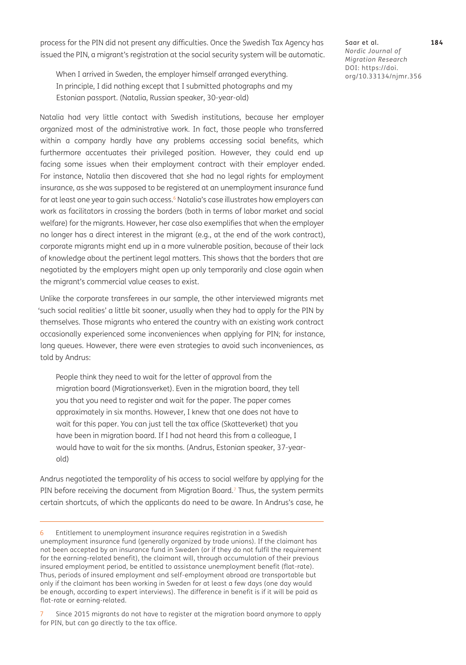process for the PIN did not present any difficulties. Once the Swedish Tax Agency has issued the PIN, a migrant's registration at the social security system will be automatic.

When I arrived in Sweden, the employer himself arranged everything. In principle, I did nothing except that I submitted photographs and my Estonian passport. (Natalia, Russian speaker, 30-year-old)

Natalia had very little contact with Swedish institutions, because her employer organized most of the administrative work. In fact, those people who transferred within a company hardly have any problems accessing social benefits, which furthermore accentuates their privileged position. However, they could end up facing some issues when their employment contract with their employer ended. For instance, Natalia then discovered that she had no legal rights for employment insurance, as she was supposed to be registered at an unemployment insurance fund for at least one year to gain such access.<sup>[6](#page-10-0)</sup> Natalia's case illustrates how employers can work as facilitators in crossing the borders (both in terms of labor market and social welfare) for the migrants. However, her case also exemplifies that when the employer no longer has a direct interest in the migrant (e.g., at the end of the work contract), corporate migrants might end up in a more vulnerable position, because of their lack of knowledge about the pertinent legal matters. This shows that the borders that are negotiated by the employers might open up only temporarily and close again when the migrant's commercial value ceases to exist.

Unlike the corporate transferees in our sample, the other interviewed migrants met 'such social realities' a little bit sooner, usually when they had to apply for the PIN by themselves. Those migrants who entered the country with an existing work contract occasionally experienced some inconveniences when applying for PIN; for instance, long queues. However, there were even strategies to avoid such inconveniences, as told by Andrus:

People think they need to wait for the letter of approval from the migration board (Migrationsverket). Even in the migration board, they tell you that you need to register and wait for the paper. The paper comes approximately in six months. However, I knew that one does not have to wait for this paper. You can just tell the tax office (Skatteverket) that you have been in migration board. If I had not heard this from a colleague, I would have to wait for the six months. (Andrus, Estonian speaker, 37-yearold)

Andrus negotiated the temporality of his access to social welfare by applying for the PIN before receiving the document from Migration Board.<sup>7</sup> Thus, the system permits certain shortcuts, of which the applicants do need to be aware. In Andrus's case, he

Saar et al. **184** *Nordic Journal of Migration Research* DOI: [https://doi.](https://doi.org/10.33134/njmr.356) [org/10.33134/njmr.356](https://doi.org/10.33134/njmr.356)

<span id="page-10-0"></span><sup>6</sup> Entitlement to unemployment insurance requires registration in a Swedish unemployment insurance fund (generally organized by trade unions). If the claimant has not been accepted by an insurance fund in Sweden (or if they do not fulfil the requirement for the earning-related benefit), the claimant will, through accumulation of their previous insured employment period, be entitled to assistance unemployment benefit (flat-rate). Thus, periods of insured employment and self-employment abroad are transportable but only if the claimant has been working in Sweden for at least a few days (one day would be enough, according to expert interviews). The difference in benefit is if it will be paid as flat-rate or earning-related.

<span id="page-10-1"></span>Since 2015 migrants do not have to register at the migration board anymore to apply for PIN, but can go directly to the tax office.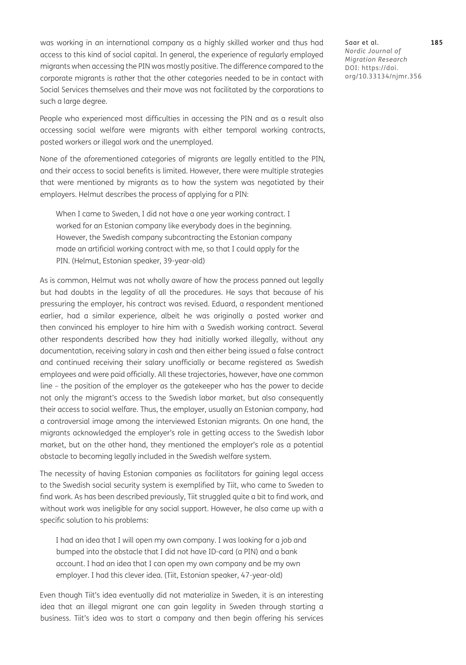was working in an international company as a highly skilled worker and thus had access to this kind of social capital. In general, the experience of regularly employed migrants when accessing the PIN was mostly positive. The difference compared to the corporate migrants is rather that the other categories needed to be in contact with Social Services themselves and their move was not facilitated by the corporations to such a large degree.

People who experienced most difficulties in accessing the PIN and as a result also accessing social welfare were migrants with either temporal working contracts, posted workers or illegal work and the unemployed.

None of the aforementioned categories of migrants are legally entitled to the PIN, and their access to social benefits is limited. However, there were multiple strategies that were mentioned by migrants as to how the system was negotiated by their employers. Helmut describes the process of applying for a PIN:

When I came to Sweden, I did not have a one year working contract. I worked for an Estonian company like everybody does in the beginning. However, the Swedish company subcontracting the Estonian company made an artificial working contract with me, so that I could apply for the PIN. (Helmut, Estonian speaker, 39-year-old)

As is common, Helmut was not wholly aware of how the process panned out legally but had doubts in the legality of all the procedures. He says that because of his pressuring the employer, his contract was revised. Eduard, a respondent mentioned earlier, had a similar experience, albeit he was originally a posted worker and then convinced his employer to hire him with a Swedish working contract. Several other respondents described how they had initially worked illegally, without any documentation, receiving salary in cash and then either being issued a false contract and continued receiving their salary unofficially or became registered as Swedish employees and were paid officially. All these trajectories, however, have one common line – the position of the employer as the gatekeeper who has the power to decide not only the migrant's access to the Swedish labor market, but also consequently their access to social welfare. Thus, the employer, usually an Estonian company, had a controversial image among the interviewed Estonian migrants. On one hand, the migrants acknowledged the employer's role in getting access to the Swedish labor market, but on the other hand, they mentioned the employer's role as a potential obstacle to becoming legally included in the Swedish welfare system.

The necessity of having Estonian companies as facilitators for gaining legal access to the Swedish social security system is exemplified by Tiit, who came to Sweden to find work. As has been described previously, Tiit struggled quite a bit to find work, and without work was ineligible for any social support. However, he also came up with a specific solution to his problems:

I had an idea that I will open my own company. I was looking for a job and bumped into the obstacle that I did not have ID-card (a PIN) and a bank account. I had an idea that I can open my own company and be my own employer. I had this clever idea. (Tiit, Estonian speaker, 47-year-old)

Even though Tiit's idea eventually did not materialize in Sweden, it is an interesting idea that an illegal migrant one can gain legality in Sweden through starting a business. Tiit's idea was to start a company and then begin offering his services

Saar et al. **185** *Nordic Journal of Migration Research* DOI: [https://doi.](https://doi.org/10.33134/njmr.356) [org/10.33134/njmr.356](https://doi.org/10.33134/njmr.356)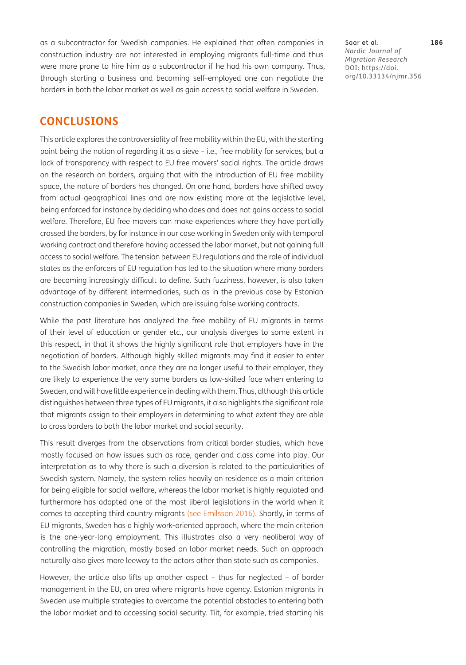as a subcontractor for Swedish companies. He explained that often companies in construction industry are not interested in employing migrants full-time and thus were more prone to hire him as a subcontractor if he had his own company. Thus, through starting a business and becoming self-employed one can negotiate the borders in both the labor market as well as gain access to social welfare in Sweden.

Saar et al. **186** *Nordic Journal of Migration Research* DOI: [https://doi.](https://doi.org/10.33134/njmr.356) [org/10.33134/njmr.356](https://doi.org/10.33134/njmr.356)

# **CONCLUSIONS**

This article explores the controversiality of free mobility within the EU, with the starting point being the notion of regarding it as a sieve – i.e., free mobility for services, but a lack of transparency with respect to EU free movers' social rights. The article draws on the research on borders, arguing that with the introduction of EU free mobility space, the nature of borders has changed. On one hand, borders have shifted away from actual geographical lines and are now existing more at the legislative level, being enforced for instance by deciding who does and does not gains access to social welfare. Therefore, EU free movers can make experiences where they have partially crossed the borders, by for instance in our case working in Sweden only with temporal working contract and therefore having accessed the labor market, but not gaining full access to social welfare. The tension between EU regulations and the role of individual states as the enforcers of EU regulation has led to the situation where many borders are becoming increasingly difficult to define. Such fuzziness, however, is also taken advantage of by different intermediaries, such as in the previous case by Estonian construction companies in Sweden, which are issuing false working contracts.

While the past literature has analyzed the free mobility of EU migrants in terms of their level of education or gender etc., our analysis diverges to some extent in this respect, in that it shows the highly significant role that employers have in the negotiation of borders. Although highly skilled migrants may find it easier to enter to the Swedish labor market, once they are no longer useful to their employer, they are likely to experience the very same borders as low-skilled face when entering to Sweden, and will have little experience in dealing with them. Thus, although this article distinguishes between three types of EU migrants, it also highlights the significant role that migrants assign to their employers in determining to what extent they are able to cross borders to both the labor market and social security.

This result diverges from the observations from critical border studies, which have mostly focused on how issues such as race, gender and class come into play. Our interpretation as to why there is such a diversion is related to the particularities of Swedish system. Namely, the system relies heavily on residence as a main criterion for being eligible for social welfare, whereas the labor market is highly regulated and furthermore has adopted one of the most liberal legislations in the world when it comes to accepting third country migrants (see [Emilsson 2016](#page-14-11)). Shortly, in terms of EU migrants, Sweden has a highly work-oriented approach, where the main criterion is the one-year-long employment. This illustrates also a very neoliberal way of controlling the migration, mostly based on labor market needs. Such an approach naturally also gives more leeway to the actors other than state such as companies.

However, the article also lifts up another aspect – thus far neglected – of border management in the EU, an area where migrants have agency. Estonian migrants in Sweden use multiple strategies to overcome the potential obstacles to entering both the labor market and to accessing social security. Tiit, for example, tried starting his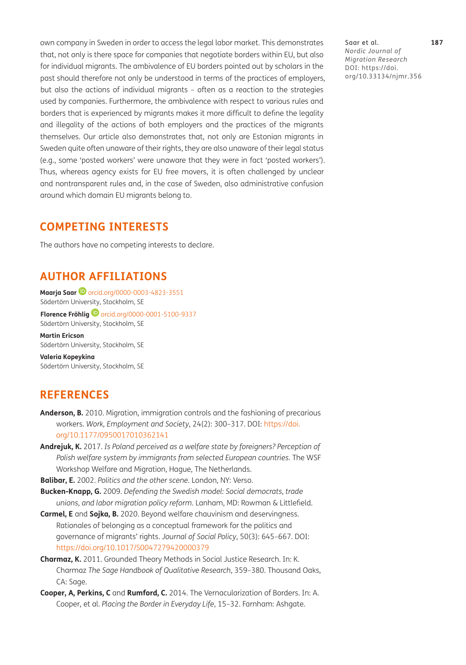own company in Sweden in order to access the legal labor market. This demonstrates that, not only is there space for companies that negotiate borders within EU, but also for individual migrants. The ambivalence of EU borders pointed out by scholars in the past should therefore not only be understood in terms of the practices of employers, but also the actions of individual migrants – often as a reaction to the strategies used by companies. Furthermore, the ambivalence with respect to various rules and borders that is experienced by migrants makes it more difficult to define the legality and illegality of the actions of both employers and the practices of the migrants themselves. Our article also demonstrates that, not only are Estonian migrants in Sweden quite often unaware of their rights, they are also unaware of their legal status (e.g., some 'posted workers' were unaware that they were in fact 'posted workers'). Thus, whereas agency exists for EU free movers, it is often challenged by unclear and nontransparent rules and, in the case of Sweden, also administrative confusion around which domain EU migrants belong to.

# **COMPETING INTERESTS**

The authors have no competing interests to declare.

# <span id="page-13-0"></span>**AUTHOR AFFILIATIONS**

**Maarja Saar ©** [orcid.org/0000-0003-4823-3551](https://orcid.org/0000-0003-4823-3551) Södertörn University, Stockholm, SE

**Florence Fröhlig**[orcid.org/0000-0001-5100-9337](https://orcid.org/0000-0001-5100-9337) Södertörn University, Stockholm, SE

**Martin Ericson** Södertörn University, Stockholm, SE

**Valeria Kopeykina** Södertörn University, Stockholm, SE

# **REFERENCES**

- <span id="page-13-3"></span>**Anderson, B.** 2010. Migration, immigration controls and the fashioning of precarious workers. *Work, Employment and Society*, 24(2): 300–317. DOI: [https://doi.](https://doi.org/10.1177/0950017010362141) [org/10.1177/0950017010362141](https://doi.org/10.1177/0950017010362141)
- <span id="page-13-5"></span>**Andrejuk, K.** 2017. *Is Poland perceived as a welfare state by foreigners? Perception of Polish welfare system by immigrants from selected European countries*. The WSF Workshop Welfare and Migration, Hague, The Netherlands.
- <span id="page-13-1"></span>**Balibar, E.** 2002. *Politics and the other scene*. London, NY: Verso.
- <span id="page-13-4"></span>**Bucken-Knapp, G.** 2009. *Defending the Swedish model: Social democrats, trade unions, and labor migration policy reform*. Lanham, MD: Rowman & Littlefield.
- <span id="page-13-6"></span>**Carmel, E** and **Sojka, B.** 2020. Beyond welfare chauvinism and deservingness. Rationales of belonging as a conceptual framework for the politics and governance of migrants' rights. *Journal of Social Policy*, 50(3): 645–667. DOI: <https://doi.org/10.1017/S0047279420000379>
- <span id="page-13-7"></span>**Charmaz, K.** 2011. Grounded Theory Methods in Social Justice Research. In: K. Charmaz *The Sage Handbook of Qualitative Research*, 359–380. Thousand Oaks, CA: Sage.
- <span id="page-13-2"></span>**Cooper, A, Perkins, C** and **Rumford, C.** 2014. The Vernacularization of Borders. In: A. Cooper, et al. *Placing the Border in Everyday Life*, 15–32. Farnham: Ashgate.

Saar et al. **187** *Nordic Journal of Migration Research* DOI: [https://doi.](https://doi.org/10.33134/njmr.356) [org/10.33134/njmr.356](https://doi.org/10.33134/njmr.356)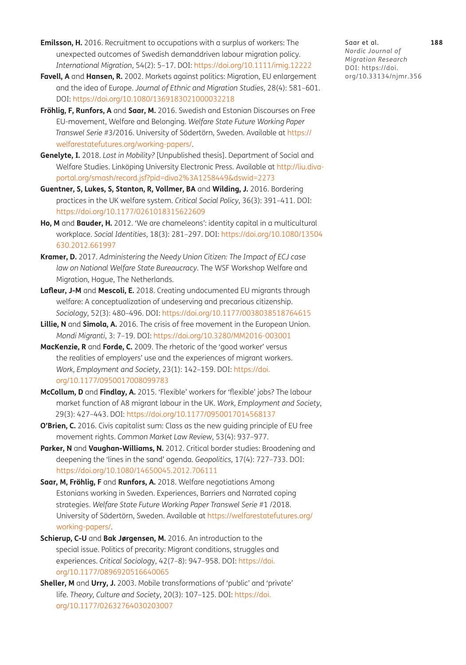- <span id="page-14-11"></span>**Emilsson, H.** 2016. Recruitment to occupations with a surplus of workers: The unexpected outcomes of Swedish demanddriven labour migration policy. *International Migration*, 54(2): 5–17. DOI: <https://doi.org/10.1111/imig.12222>
- <span id="page-14-4"></span>**Favell, A** and **Hansen, R.** 2002. Markets against politics: Migration, EU enlargement and the idea of Europe. *Journal of Ethnic and Migration Studies*, 28(4): 581–601. DOI: <https://doi.org/10.1080/1369183021000032218>
- **Fröhlig, F, Runfors, A** and **Saar, M.** 2016. Swedish and Estonian Discourses on Free EU-movement, Welfare and Belonging. *Welfare State Future Working Paper Transwel Serie* #3/2016. University of Södertörn, Sweden. Available at [https://](https://welfarestatefutures.org/working-papers/) [welfarestatefutures.org/working-papers/](https://welfarestatefutures.org/working-papers/).
- <span id="page-14-10"></span>**Genelyte, I.** 2018. *Lost in Mobility?* [Unpublished thesis]. Department of Social and Welfare Studies. Linköping University Electronic Press. Available at [http://liu.diva](http://liu.diva-portal.org/smash/record.jsf?pid=diva2%3A1258449&dswid=2273)[portal.org/smash/record.jsf?pid=diva2%3A1258449&dswid=2273](http://liu.diva-portal.org/smash/record.jsf?pid=diva2%3A1258449&dswid=2273)
- <span id="page-14-8"></span>**Guentner, S, Lukes, S, Stanton, R, Vollmer, BA** and **Wilding, J.** 2016. Bordering practices in the UK welfare system. *Critical Social Policy*, 36(3): 391–411. DOI: <https://doi.org/10.1177/0261018315622609>
- <span id="page-14-7"></span>**Ho, M** and **Bauder, H.** 2012. 'We are chameleons': identity capital in a multicultural workplace. *Social Identities*, 18(3): 281–297. DOI: [https://doi.org/10.1080/13504](https://doi.org/10.1080/13504630.2012.661997) [630.2012.661997](https://doi.org/10.1080/13504630.2012.661997)
- <span id="page-14-2"></span>**Kramer, D.** 2017. *Administering the Needy Union Citizen: The Impact of ECJ case law on National Welfare State Bureaucracy*. The WSF Workshop Welfare and Migration, Hague, The Netherlands.
- <span id="page-14-3"></span>**Lafleur, J-M** and **Mescoli, E.** 2018. Creating undocumented EU migrants through welfare: A conceptualization of undeserving and precarious citizenship. *Sociology*, 52(3): 480–496. DOI: <https://doi.org/10.1177/0038038518764615>
- <span id="page-14-0"></span>**Lillie, N** and **Simola, A.** 2016. The crisis of free movement in the European Union. *Mondi Migranti*, 3: 7–19. DOI: <https://doi.org/10.3280/MM2016-003001>
- <span id="page-14-5"></span>**MacKenzie, R** and **Forde, C.** 2009. The rhetoric of the 'good worker' versus the realities of employers' use and the experiences of migrant workers. *Work, Employment and Society*, 23(1): 142–159. DOI: [https://doi.](https://doi.org/10.1177/0950017008099783) [org/10.1177/0950017008099783](https://doi.org/10.1177/0950017008099783)
- <span id="page-14-6"></span>**McCollum, D** and **Findlay, A.** 2015. 'Flexible' workers for 'flexible' jobs? The labour market function of A8 migrant labour in the UK. *Work, Employment and Society*, 29(3): 427–443. DOI:<https://doi.org/10.1177/0950017014568137>
- **O'Brien, C.** 2016. Civis capitalist sum: Class as the new quiding principle of EU free movement rights. *Common Market Law Review*, 53(4): 937–977.
- <span id="page-14-1"></span>**Parker, N** and **Vaughan-Williams, N.** 2012. Critical border studies: Broadening and deepening the 'lines in the sand' agenda. *Geopolitics*, 17(4): 727–733. DOI: <https://doi.org/10.1080/14650045.2012.706111>
- **Saar, M, Fröhlig, F** and **Runfors, A.** 2018. Welfare negotiations Among Estonians working in Sweden. Experiences, Barriers and Narrated coping strategies. *Welfare State Future Working Paper Transwel Serie* #1 /2018. University of Södertörn, Sweden. Available at [https://welfarestatefutures.org/](https://welfarestatefutures.org/working-papers/) [working-papers/](https://welfarestatefutures.org/working-papers/).
- **Schierup, C-U** and **Bak Jørgensen, M.** 2016. An introduction to the special issue. Politics of precarity: Migrant conditions, struggles and experiences. *Critical Sociolog*y, 42(7–8): 947–958. DOI: [https://doi.](https://doi.org/10.1177/0896920516640065) [org/10.1177/0896920516640065](https://doi.org/10.1177/0896920516640065)
- <span id="page-14-9"></span>**Sheller, M** and **Urry, J.** 2003. Mobile transformations of 'public' and 'private' life. *Theory, Culture and Society*, 20(3): 107–125. DOI: [https://doi.](https://doi.org/10.1177/02632764030203007) [org/10.1177/02632764030203007](https://doi.org/10.1177/02632764030203007)

Saar et al. **188** *Nordic Journal of Migration Research* DOI: [https://doi.](https://doi.org/10.33134/njmr.356) [org/10.33134/njmr.356](https://doi.org/10.33134/njmr.356)